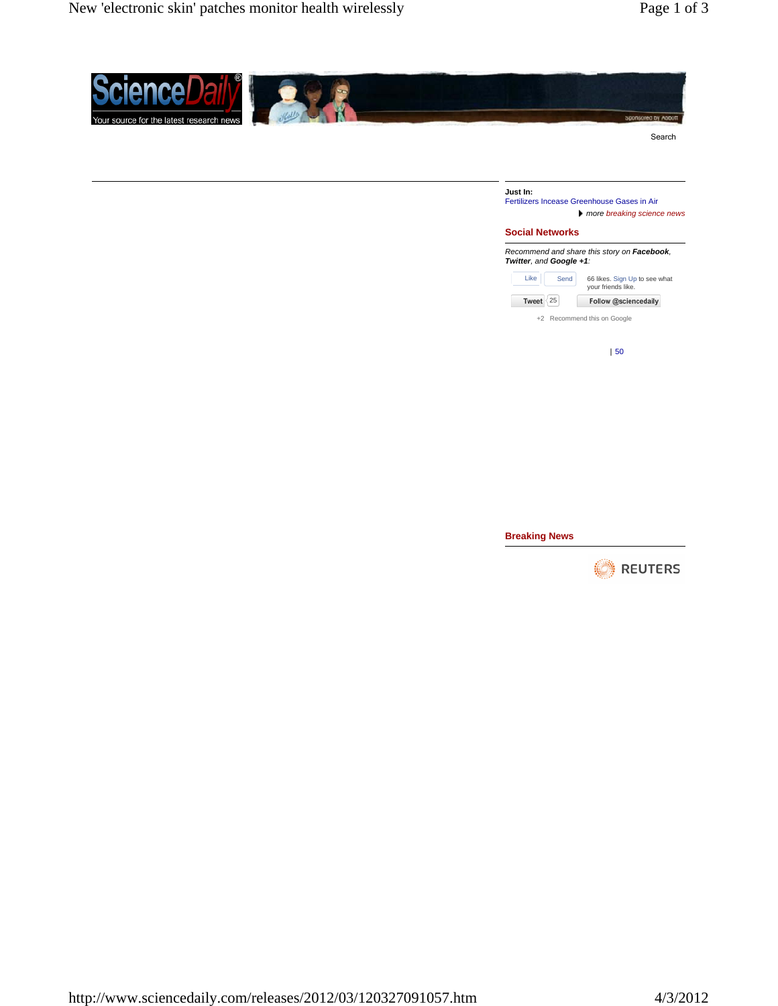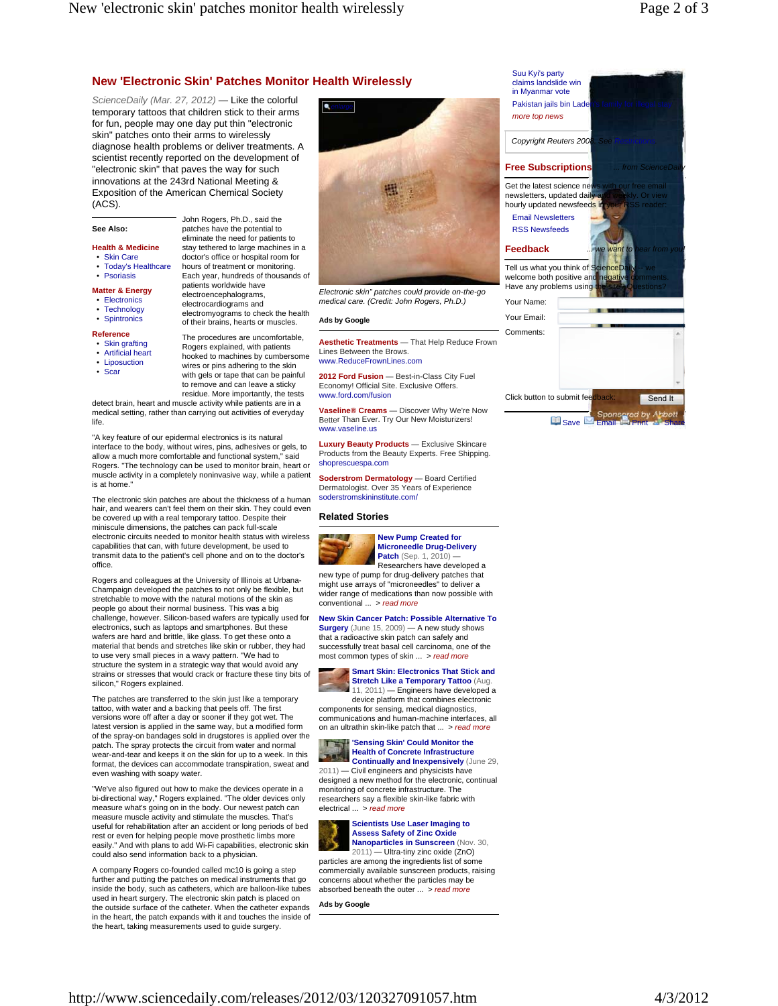# **New 'Electronic Skin' Patches Monitor Health Wirelessly**

*ScienceDaily (Mar. 27, 2012)* — Like the colorful temporary tattoos that children stick to their arms for fun, people may one day put thin "electronic skin" patches onto their arms to wirelessly diagnose health problems or deliver treatments. A scientist recently reported on the development of "electronic skin" that paves the way for such innovations at the 243rd National Meeting & Exposition of the American Chemical Society (ACS).

## **See Also:**

**Health & Medicine**

• Skin Care

- Today's Healthcare
- Psoriasis
- **Matter & Energy** • Electronics
- Technology
- Spintronics

**Reference**

- Skin grafting • Artificial heart
- Liposuction
- Scar

Rogers explained, with patients hooked to machines by cumbersome wires or pins adhering to the skin with gels or tape that can be painful to remove and can leave a sticky residue. More importantly, the tests

detect brain, heart and muscle activity while patients are in a medical setting, rather than carrying out activities of everyday life.

"A key feature of our epidermal electronics is its natural interface to the body, without wires, pins, adhesives or gels, to allow a much more comfortable and functional system," said Rogers. "The technology can be used to monitor brain, heart or muscle activity in a completely noninvasive way, while a patient is at home.

The electronic skin patches are about the thickness of a human hair, and wearers can't feel them on their skin. They could even be covered up with a real temporary tattoo. Despite their miniscule dimensions, the patches can pack full-scale electronic circuits needed to monitor health status with wireless capabilities that can, with future development, be used to transmit data to the patient's cell phone and on to the doctor's office.

Rogers and colleagues at the University of Illinois at Urbana-Champaign developed the patches to not only be flexible, but stretchable to move with the natural motions of the skin as people go about their normal business. This was a big challenge, however. Silicon-based wafers are typically used for electronics, such as laptops and smartphones. But these wafers are hard and brittle, like glass. To get these onto a material that bends and stretches like skin or rubber, they had to use very small pieces in a wavy pattern. "We had to structure the system in a strategic way that would avoid any strains or stresses that would crack or fracture these tiny bits of silicon," Rogers explained.

The patches are transferred to the skin just like a temporary tattoo, with water and a backing that peels off. The first versions wore off after a day or sooner if they got wet. The latest version is applied in the same way, but a modified form of the spray-on bandages sold in drugstores is applied over the patch. The spray protects the circuit from water and normal wear-and-tear and keeps it on the skin for up to a week. In this format, the devices can accommodate transpiration, sweat and even washing with soapy water.

"We've also figured out how to make the devices operate in a bi-directional way," Rogers explained. "The older devices only measure what's going on in the body. Our newest patch can measure muscle activity and stimulate the muscles. That's useful for rehabilitation after an accident or long periods of bed rest or even for helping people move prosthetic limbs more easily." And with plans to add Wi-Fi capabilities, electronic skin could also send information back to a physician.

A company Rogers co-founded called mc10 is going a step further and putting the patches on medical instruments that go inside the body, such as catheters, which are balloon-like tubes used in heart surgery. The electronic skin patch is placed on the outside surface of the catheter. When the catheter expands in the heart, the patch expands with it and touches the inside of the heart, taking measurements used to guide surgery.



*Electronic skin" patches could provide on-the-go medical care. (Credit: John Rogers, Ph.D.)*

### **Ads by Google**

**Aesthetic Treatments** — That Help Reduce Frown Lines Between the Brows. www.ReduceFrownLines.com

**2012 Ford Fusion** — Best-in-Class City Fuel Economy! Official Site. Exclusive Offers. www.ford.com/fusion

**Vaseline® Creams** — Discover Why We're Now Better Than Ever. Try Our New Moisturizers! www.vaseline.us

**Luxury Beauty Products** — Exclusive Skincare Products from the Beauty Experts. Free Shipping. shoprescuespa.com

**Soderstrom Dermatology** — Board Certified Dermatologist. Over 35 Years of Experience soderstromskininstitute.com/

#### **Related Stories**



**New Pump Created for Microneedle Drug-Delivery**  Patch (Sep. 1, 2010) -Researchers have developed a

new type of pump for drug-delivery patches that might use arrays of "microneedles" to deliver a wider range of medications than now possible with conventional ... > *read more*

#### **New Skin Cancer Patch: Possible Alternative To**

**Surgery** (June 15, 2009) — A new study shows that a radioactive skin patch can safely and successfully treat basal cell carcinoma, one of the most common types of skin ... > *read more*



device platform that combines electronic components for sensing, medical diagnostics, communications and human-machine interfaces, all on an ultrathin skin-like patch that ... > *read more*

**'Sensing Skin' Could Monitor the Health of Concrete Infrastructure Continually and Inexpensively** (June 29, 2011) — Civil engineers and physicists have designed a new method for the electronic, continual monitoring of concrete infrastructure. The

researchers say a flexible skin-like fabric with electrical ... > *read more* **Scientists Use Laser Imaging to** 



2011) — Ultra-tiny zinc oxide (ZnO) particles are among the ingredients list of some commercially available sunscreen products, raising concerns about whether the particles may be absorbed beneath the outer ... > *read more*

**Ads by Google**



**Example Sponsored by Abbot** 

patients worldwide have electroencephalograms, electrocardiograms and electromyograms to check the health of their brains, hearts or muscles. The procedures are uncomfortable,

John Rogers, Ph.D., said the patches have the potential to eliminate the need for patients to stay tethered to large machines in a doctor's office or hospital room for hours of treatment or monitoring. Each year, hundreds of thousands of